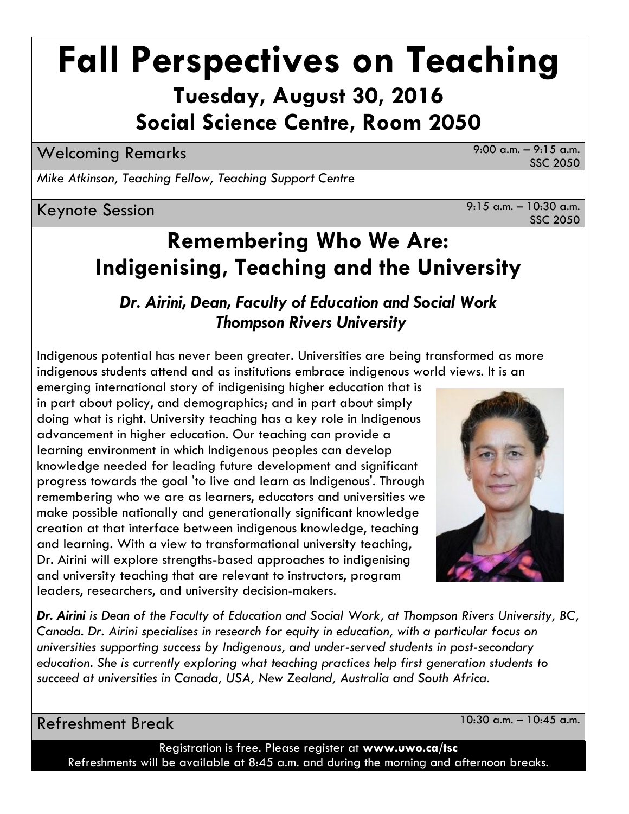# **Fall Perspectives on Teaching Tuesday, August 30, 2016 Social Science Centre, Room 2050**

Welcoming Remarks 9:00 a.m. – 9:15 a.m.

SSC 2050

*Mike Atkinson, Teaching Fellow, Teaching Support Centre*

Keynote Session 9:15 a.m. – 10:30 a.m. SSC 2050

## **Remembering Who We Are: Indigenising, Teaching and the University**

*Dr. Airini, Dean, Faculty of Education and Social Work Thompson Rivers University*

Indigenous potential has never been greater. Universities are being transformed as more indigenous students attend and as institutions embrace indigenous world views. It is an

emerging international story of indigenising higher education that is in part about policy, and demographics; and in part about simply doing what is right. University teaching has a key role in Indigenous advancement in higher education. Our teaching can provide a learning environment in which Indigenous peoples can develop knowledge needed for leading future development and significant progress towards the goal 'to live and learn as Indigenous'. Through remembering who we are as learners, educators and universities we make possible nationally and generationally significant knowledge creation at that interface between indigenous knowledge, teaching and learning. With a view to transformational university teaching, Dr. Airini will explore strengths-based approaches to indigenising and university teaching that are relevant to instructors, program leaders, researchers, and university decision-makers.



*Dr. Airini is Dean of the Faculty of Education and Social Work, at Thompson Rivers University, BC, Canada. Dr. Airini specialises in research for equity in education, with a particular focus on universities supporting success by Indigenous, and under-served students in post-secondary education. She is currently exploring what teaching practices help first generation students to succeed at universities in Canada, USA, New Zealand, Australia and South Africa.*

## Refreshment Break 10:30 a.m. – 10:45 a.m.

Registration is free. Please register at **www.uwo.ca/tsc**  Refreshments will be available at 8:45 a.m. and during the morning and afternoon breaks.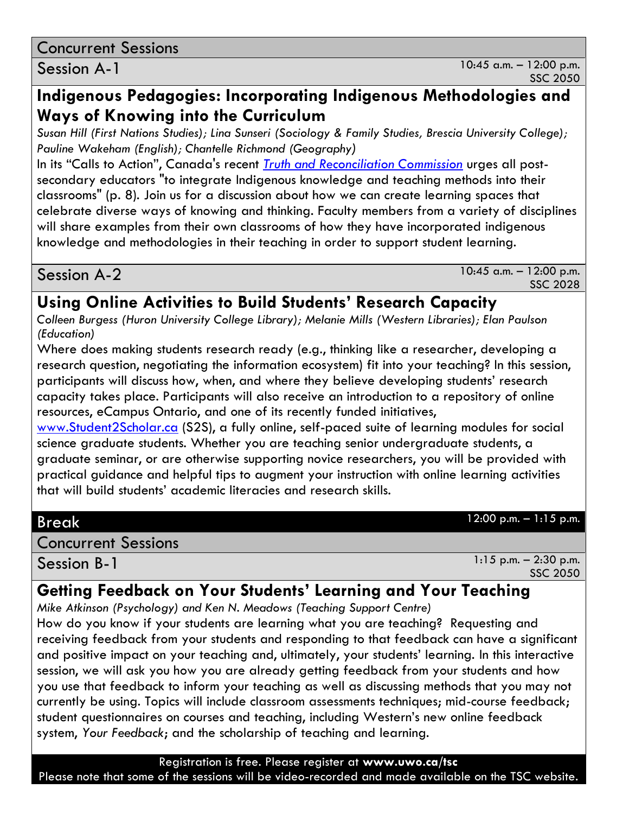Session A-1

10:45 a.m. – 12:00 p.m. SSC 2050

## **Indigenous Pedagogies: Incorporating Indigenous Methodologies and Ways of Knowing into the Curriculum**

*Susan Hill (First Nations Studies); Lina Sunseri (Sociology & Family Studies, Brescia University College); Pauline Wakeham (English); Chantelle Richmond (Geography)*

In its "Calls to Action", Canada's recent *[Truth and Reconciliation Commission](http://www.trc.ca/websites/trcinstitution/File/2015/Findings/Calls_to_Action_English2.pdf)* urges all postsecondary educators "to integrate Indigenous knowledge and teaching methods into their classrooms" (p. 8). Join us for a discussion about how we can create learning spaces that celebrate diverse ways of knowing and thinking. Faculty members from a variety of disciplines will share examples from their own classrooms of how they have incorporated indigenous knowledge and methodologies in their teaching in order to support student learning.

Session A-2

10:45 a.m. – 12:00 p.m. SSC 2028

### **Using Online Activities to Build Students' Research Capacity**

*Colleen Burgess (Huron University College Library); Melanie Mills (Western Libraries); Elan Paulson (Education)*

Where does making students research ready (e.g., thinking like a researcher, developing a research question, negotiating the information ecosystem) fit into your teaching? In this session, participants will discuss how, when, and where they believe developing students' research capacity takes place. Participants will also receive an introduction to a repository of online resources, eCampus Ontario, and one of its recently funded initiatives,

[www.Student2Scholar.ca](http://www.student2scholar.ca/) (S2S), a fully online, self-paced suite of learning modules for social science graduate students. Whether you are teaching senior undergraduate students, a graduate seminar, or are otherwise supporting novice researchers, you will be provided with practical guidance and helpful tips to augment your instruction with online learning activities that will build students' academic literacies and research skills.

**Break** 12:00 p.m. – 1:15 p.m.

Concurrent Sessions

Session B-1

1:15 p.m. – 2:30 p.m. SSC 2050

## **Getting Feedback on Your Students' Learning and Your Teaching**

*Mike Atkinson (Psychology) and Ken N. Meadows (Teaching Support Centre)*

How do you know if your students are learning what you are teaching? Requesting and receiving feedback from your students and responding to that feedback can have a significant and positive impact on your teaching and, ultimately, your students' learning. In this interactive session, we will ask you how you are already getting feedback from your students and how you use that feedback to inform your teaching as well as discussing methods that you may not currently be using. Topics will include classroom assessments techniques; mid-course feedback; student questionnaires on courses and teaching, including Western's new online feedback system, *Your Feedback*; and the scholarship of teaching and learning.

Registration is free. Please register at **www.uwo.ca/tsc**

Please note that some of the sessions will be video-recorded and made available on the TSC website.